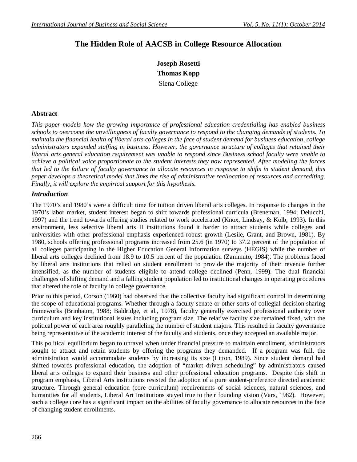# **The Hidden Role of AACSB in College Resource Allocation**

**Joseph Rosetti Thomas Kopp** Siena College

## **Abstract**

*This paper models how the growing importance of professional education credentialing has enabled business schools to overcome the unwillingness of faculty governance to respond to the changing demands of students. To maintain the financial health of liberal arts colleges in the face of student demand for business education, college administrators expanded staffing in business. However, the governance structure of colleges that retained their liberal arts general education requirement was unable to respond since Business school faculty were unable to achieve a political voice proportionate to the student interests they now represented. After modeling the forces that led to the failure of faculty governance to allocate resources in response to shifts in student demand, this paper develops a theoretical model that links the rise of administrative reallocation of resources and accrediting. Finally, it will explore the empirical support for this hypothesis.* 

## *Introduction*

The 1970's and 1980's were a difficult time for tuition driven liberal arts colleges. In response to changes in the 1970's labor market, student interest began to shift towards professional curricula (Breneman, 1994; Delucchi, 1997) and the trend towards offering studies related to work accelerated (Knox, Lindsay, & Kolb, 1993). In this environment, less selective liberal arts II institutions found it harder to attract students while colleges and universities with other professional emphasis experienced robust growth (Lesile, Grant, and Brown, 1981). By 1980, schools offering professional programs increased from 25.6 (in 1970) to 37.2 percent of the population of all colleges participating in the Higher Education General Information surveys (HEGIS) while the number of liberal arts colleges declined from 18.9 to 10.5 percent of the population (Zammuto, 1984). The problems faced by liberal arts institutions that relied on student enrollment to provide the majority of their revenue further intensified, as the number of students eligible to attend college declined (Penn, 1999). The dual financial challenges of shifting demand and a falling student population led to institutional changes in operating procedures that altered the role of faculty in college governance.

Prior to this period, Corson (1960) had observed that the collective faculty had significant control in determining the scope of educational programs. Whether through a faculty senate or other sorts of collegial decision sharing frameworks (Brinbaum, 1988; Baldridge, et al., 1978), faculty generally exercised professional authority over curriculum and key institutional issues including program size. The relative faculty size remained fixed, with the political power of each area roughly paralleling the number of student majors. This resulted in faculty governance being representative of the academic interest of the faculty and students, once they accepted an available major.

This political equilibrium began to unravel when under financial pressure to maintain enrollment, administrators sought to attract and retain students by offering the programs they demanded. If a program was full, the administration would accommodate students by increasing its size (Litton, 1989). Since student demand had shifted towards professional education, the adoption of "market driven scheduling" by administrators caused liberal arts colleges to expand their business and other professional education programs. Despite this shift in program emphasis, Liberal Arts institutions resisted the adoption of a pure student-preference directed academic structure. Through general education (core curriculum) requirements of social sciences, natural sciences, and humanities for all students, Liberal Art Institutions stayed true to their founding vision (Vars, 1982). However, such a college core has a significant impact on the abilities of faculty governance to allocate resources in the face of changing student enrollments.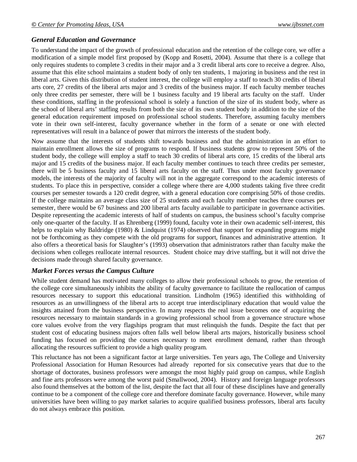## *General Education and Governance*

To understand the impact of the growth of professional education and the retention of the college core, we offer a modification of a simple model first proposed by (Kopp and Rosetti, 2004). Assume that there is a college that only requires students to complete 3 credits in their major and a 3 credit liberal arts core to receive a degree. Also, assume that this elite school maintains a student body of only ten students, 1 majoring in business and the rest in liberal arts. Given this distribution of student interest, the college will employ a staff to teach 30 credits of liberal arts core, 27 credits of the liberal arts major and 3 credits of the business major. If each faculty member teaches only three credits per semester, there will be 1 business faculty and 19 liberal arts faculty on the staff. Under these conditions, staffing in the professional school is solely a function of the size of its student body, where as the school of liberal arts' staffing results from both the size of its own student body in addition to the size of the general education requirement imposed on professional school students. Therefore, assuming faculty members vote in their own self-interest, faculty governance whether in the form of a senate or one with elected representatives will result in a balance of power that mirrors the interests of the student body.

Now assume that the interests of students shift towards business and that the administration in an effort to maintain enrollment allows the size of programs to respond. If business students grow to represent 50% of the student body, the college will employ a staff to teach 30 credits of liberal arts core, 15 credits of the liberal arts major and 15 credits of the business major. If each faculty member continues to teach three credits per semester, there will be 5 business faculty and 15 liberal arts faculty on the staff. Thus under most faculty governance models, the interests of the majority of faculty will not in the aggregate correspond to the academic interests of students. To place this in perspective, consider a college where there are 4,000 students taking five three credit courses per semester towards a 120 credit degree, with a general education core comprising 50% of those credits. If the college maintains an average class size of 25 students and each faculty member teaches three courses per semester, there would be 67 business and 200 liberal arts faculty available to participate in governance activities. Despite representing the academic interests of half of students on campus, the business school's faculty comprise only one-quarter of the faculty. If as Ehrenberg (1999) found, faculty vote in their own academic self-interest, this helps to explain why Baldridge (1980) & Lindquist (1974) observed that support for expanding programs might not be forthcoming as they compete with the old programs for support, finances and administrative attention. It also offers a theoretical basis for Slaughter's (1993) observation that administrators rather than faculty make the decisions when colleges reallocate internal resources. Student choice may drive staffing, but it will not drive the decisions made through shared faculty governance.

#### *Market Forces versus the Campus Culture*

While student demand has motivated many colleges to allow their professional schools to grow, the retention of the college core simultaneously inhibits the ability of faculty governance to facilitate the reallocation of campus resources necessary to support this educational transition. Lindholm (1965) identified this withholding of resources as an unwillingness of the liberal arts to accept true interdisciplinary education that would value the insights attained from the business perspective. In many respects the real issue becomes one of acquiring the resources necessary to maintain standards in a growing professional school from a governance structure whose core values evolve from the very flagships program that must relinquish the funds. Despite the fact that per student cost of educating business majors often falls well below liberal arts majors, historically business school funding has focused on providing the courses necessary to meet enrollment demand, rather than through allocating the resources sufficient to provide a high quality program.

This reluctance has not been a significant factor at large universities. Ten years ago, The College and University Professional Association for Human Resources had already reported for six consecutive years that due to the shortage of doctorates, business professors were amongst the most highly paid group on campus, while English and fine arts professors were among the worst paid (Smallwood, 2004). History and foreign language professors also found themselves at the bottom of the list, despite the fact that all four of these disciplines have and generally continue to be a component of the college core and therefore dominate faculty governance. However, while many universities have been willing to pay market salaries to acquire qualified business professors, liberal arts faculty do not always embrace this position.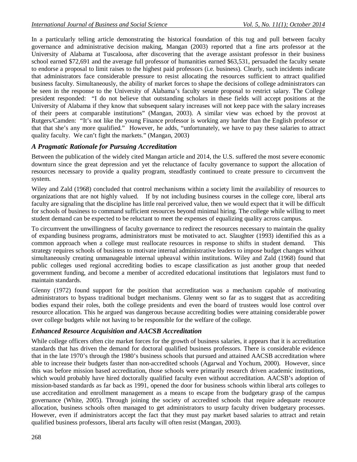In a particularly telling article demonstrating the historical foundation of this tug and pull between faculty governance and administrative decision making, Mangan (2003) reported that a fine arts professor at the University of Alabama at Tuscaloosa, after discovering that the average assistant professor in their business school earned \$72,691 and the average full professor of humanities earned \$63,531, persuaded the faculty senate to endorse a proposal to limit raises to the highest paid professors (i.e. business). Clearly, such incidents indicate that administrators face considerable pressure to resist allocating the resources sufficient to attract qualified business faculty. Simultaneously, the ability of market forces to shape the decisions of college administrators can be seen in the response to the University of Alabama's faculty senate proposal to restrict salary. The College president responded: "I do not believe that outstanding scholars in these fields will accept positions at the University of Alabama if they know that subsequent salary increases will not keep pace with the salary increases of their peers at comparable institutions" (Mangan, 2003). A similar view was echoed by the provost at Rutgers/Camden: "It's not like the young Finance professor is working any harder than the English professor or that that she's any more qualified." However, he adds, "unfortunately, we have to pay these salaries to attract quality faculty. We can't fight the markets." (Mangan, 2003)

# *A Pragmatic Rationale for Pursuing Accreditation*

Between the publication of the widely cited Mangan article and 2014, the U.S. suffered the most severe economic downturn since the great depression and yet the reluctance of faculty governance to support the allocation of resources necessary to provide a quality program, steadfastly continued to create pressure to circumvent the system.

Wiley and Zald (1968) concluded that control mechanisms within a society limit the availability of resources to organizations that are not highly valued. If by not including business courses in the college core, liberal arts faculty are signaling that the discipline has little real perceived value, then we would expect that it will be difficult for schools of business to command sufficient resources beyond minimal hiring. The college while willing to meet student demand can be expected to be reluctant to meet the expenses of equalizing quality across campus.

To circumvent the unwillingness of faculty governance to redirect the resources necessary to maintain the quality of expanding business programs, administrators must be motivated to act. Slaughter (1993) identified this as a common approach when a college must reallocate resources in response to shifts in student demand. This strategy requires schools of business to motivate internal administrative leaders to impose budget changes without simultaneously creating unmanageable internal upheaval within institutions. Wiley and Zald (1968) found that public colleges used regional accrediting bodies to escape classification as just another group that needed government funding, and become a member of accredited educational institutions that legislators must fund to maintain standards.

Glenny (1972) found support for the position that accreditation was a mechanism capable of motivating administrators to bypass traditional budget mechanisms. Glenny went so far as to suggest that as accrediting bodies expand their roles, both the college presidents and even the board of trustees would lose control over resource allocation. This he argued was dangerous because accrediting bodies were attaining considerable power over college budgets while not having to be responsible for the welfare of the college.

# *Enhanced Resource Acquisition and AACSB Accreditation*

While college officers often cite market forces for the growth of business salaries, it appears that it is accreditation standards that has driven the demand for doctoral qualified business professors. There is considerable evidence that in the late 1970's through the 1980's business schools that pursued and attained AACSB accreditation where able to increase their budgets faster than non-accredited schools (Agarwal and Yochum, 2000). However, since this was before mission based accreditation, those schools were primarily research driven academic institutions, which would probably have hired doctorally qualified faculty even without accreditation. AACSB's adoption of mission-based standards as far back as 1991, opened the door for business schools within liberal arts colleges to use accreditation and enrollment management as a means to escape from the budgetary grasp of the campus governance (White, 2005). Through joining the society of accredited schools that require adequate resource allocation, business schools often managed to get administrators to usurp faculty driven budgetary processes. However, even if administrators accept the fact that they must pay market based salaries to attract and retain qualified business professors, liberal arts faculty will often resist (Mangan, 2003).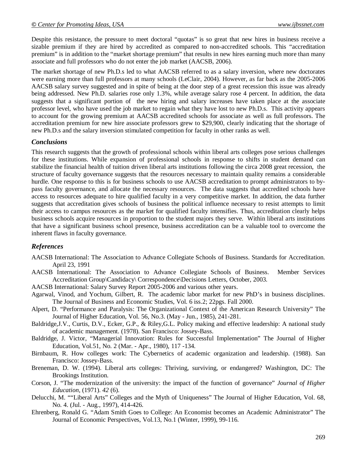Despite this resistance, the pressure to meet doctoral "quotas" is so great that new hires in business receive a sizable premium if they are hired by accredited as compared to non-accredited schools. This "accreditation premium" is in addition to the "market shortage premium" that results in new hires earning much more than many associate and full professors who do not enter the job market (AACSB, 2006).

The market shortage of new Ph.D.s led to what AACSB referred to as a salary inversion, where new doctorates were earning more than full professors at many schools (LeClair, 2004). However, as far back as the 2005-2006 AACSB salary survey suggested and in spite of being at the door step of a great recession this issue was already being addressed. New Ph.D. salaries rose only 1.3%, while average salary rose 4 percent. In addition, the data suggests that a significant portion of the new hiring and salary increases have taken place at the associate professor level, who have used the job market to regain what they have lost to new Ph.D.s. This activity appears to account for the growing premium at AACSB accredited schools for associate as well as full professors. The accreditation premium for new hire associate professors grew to \$29,900, clearly indicating that the shortage of new Ph.D.s and the salary inversion stimulated competition for faculty in other ranks as well.

#### *Conclusions*

This research suggests that the growth of professional schools within liberal arts colleges pose serious challenges for these institutions. While expansion of professional schools in response to shifts in student demand can stabilize the financial health of tuition driven liberal arts institutions following the circa 2008 great recession, the structure of faculty governance suggests that the resources necessary to maintain quality remains a considerable hurdle. One response to this is for business schools to use AACSB accreditation to prompt administrators to bypass faculty governance, and allocate the necessary resources. The data suggests that accredited schools have access to resources adequate to hire qualified faculty in a very competitive market. In addition, the data further suggests that accreditation gives schools of business the political influence necessary to resist attempts to limit their access to campus resources as the market for qualified faculty intensifies. Thus, accreditation clearly helps business schools acquire resources in proportion to the student majors they serve. Within liberal arts institutions that have a significant business school presence, business accreditation can be a valuable tool to overcome the inherent flaws in faculty governance.

#### *References*

- AACSB International: The Association to Advance Collegiate Schools of Business. Standards for Accreditation. April 23, 1991
- AACSB International: The Association to Advance Collegiate Schools of Business. Member Services Accreditation Group\Candidacy\ Correspondence\Decisions Letters, October, 2003.
- AACSB International: Salary Survey Report 2005-2006 and various other years.
- Agarwal, Vinod, and Yochum, Gilbert, R. The academic labor market for new PhD's in business disciplines. The Journal of Business and Economic Studies, Vol. 6 iss.2; 22pgs. Fall 2000.
- Alpert, D. "Performance and Paralysis: The Organizational Context of the American Research University" The Journal of Higher Education, Vol. 56, No.3. (May - Jun., 1985), 241-281.
- Baldridge,J.V., Curtis, D.V., Ecker, G.P., & Riley,G.L. Policy making and effective leadership: A national study of academic management. (1978). San Francisco: Jossey-Bass.
- Baldridge, J. Victor, "Managerial Innovation: Rules for Successful Implementation" The Journal of Higher Education, Vol.51, No. 2 (Mar. - Apr., 1980), 117 -134.
- Birnbaum, R. How colleges work: The Cybernetics of academic organization and leadership. (1988). San Francisco: Jossey-Bass.
- Breneman, D. W. (1994). Liberal arts colleges: Thriving, surviving, or endangered? Washington, DC: The Brookings Institution.
- Corson, J. "The modernization of the university: the impact of the function of governance" *Journal of Higher Education*, (1971). *42* (6).
- Delucchi, M. ""Liberal Arts" Colleges and the Myth of Uniqueness" The Journal of Higher Education, Vol. 68, No. 4. (Jul. - Aug., 1997), 414-426.
- Ehrenberg, Ronald G. "Adam Smith Goes to College: An Economist becomes an Academic Administrator" The Journal of Economic Perspectives, Vol.13, No.1 (Winter, 1999), 99-116.